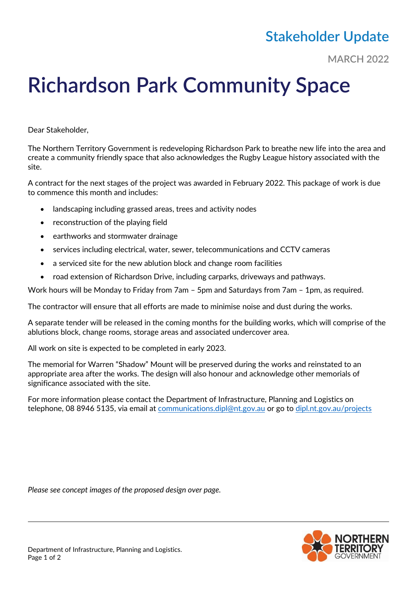## **Stakeholder Update**

**MARCH 2022**

## **Richardson Park Community Space**

Dear Stakeholder,

The Northern Territory Government is redeveloping Richardson Park to breathe new life into the area and create a community friendly space that also acknowledges the Rugby League history associated with the site.

A contract for the next stages of the project was awarded in February 2022. This package of work is due to commence this month and includes:

- landscaping including grassed areas, trees and activity nodes
- reconstruction of the playing field
- earthworks and stormwater drainage
- services including electrical, water, sewer, telecommunications and CCTV cameras
- a serviced site for the new ablution block and change room facilities
- road extension of Richardson Drive, including carparks, driveways and pathways.

Work hours will be Monday to Friday from 7am – 5pm and Saturdays from 7am – 1pm, as required.

The contractor will ensure that all efforts are made to minimise noise and dust during the works.

A separate tender will be released in the coming months for the building works, which will comprise of the ablutions block, change rooms, storage areas and associated undercover area.

All work on site is expected to be completed in early 2023.

The memorial for Warren "Shadow" Mount will be preserved during the works and reinstated to an appropriate area after the works. The design will also honour and acknowledge other memorials of significance associated with the site.

For more information please contact the Department of Infrastructure, Planning and Logistics on telephone, 08 8946 5135, via email at [communications.dipl@nt.gov.au](mailto:communications.dipl@nt.gov.au) or go to [dipl.nt.gov.au/](http://dipl.nt.gov.au/)projects

*Please see concept images of the proposed design over page.*